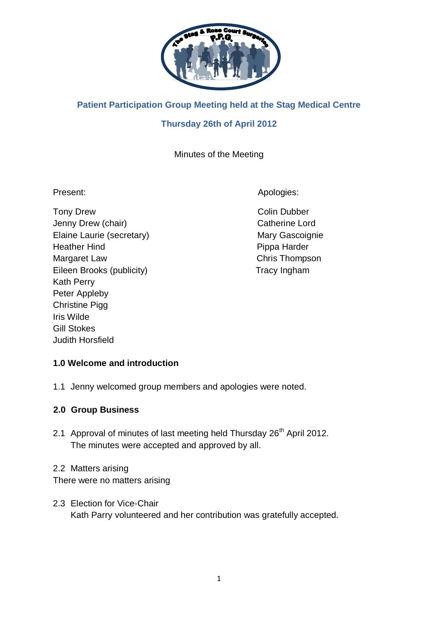

# **Patient Participation Group Meeting held at the Stag Medical Centre**

# **Thursday 26th of April 2012**

# Minutes of the Meeting

Tony Drew **Colin Dubber** Colin Dubber Jenny Drew (chair) Catherine Lord Elaine Laurie (secretary) Mary Gascoignie Heather Hind **Pippa Harder** Margaret Law Chris Thompson Eileen Brooks (publicity) Tracy Ingham Kath Perry Peter Appleby Christine Pigg Iris Wilde Gill Stokes Judith Horsfield

Present: Apologies: Apologies: Apologies: Apologies: Apologies: Apologies: Apologies: Apologies: Apologies: Apologies: Apologies: Apologies: Apologies: Apologies: Apologies: Apologies: Apologies: Apologies: Apologies: Apol

# **1.0 Welcome and introduction**

1.1 Jenny welcomed group members and apologies were noted.

### **2.0 Group Business**

2.1 Approval of minutes of last meeting held Thursday 26<sup>th</sup> April 2012. The minutes were accepted and approved by all.

### 2.2 Matters arising

There were no matters arising

2.3 Election for Vice-Chair Kath Parry volunteered and her contribution was gratefully accepted.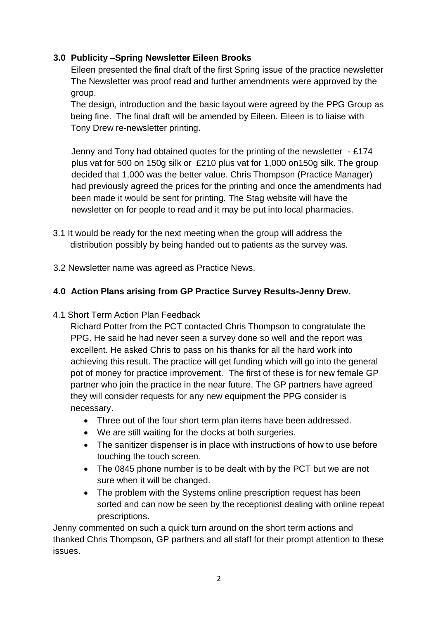## **3.0 Publicity –Spring Newsletter Eileen Brooks**

Eileen presented the final draft of the first Spring issue of the practice newsletter The Newsletter was proof read and further amendments were approved by the group.

The design, introduction and the basic layout were agreed by the PPG Group as being fine. The final draft will be amended by Eileen. Eileen is to liaise with Tony Drew re-newsletter printing.

Jenny and Tony had obtained quotes for the printing of the newsletter - £174 plus vat for 500 on 150g silk or £210 plus vat for 1,000 on150g silk. The group decided that 1,000 was the better value. Chris Thompson (Practice Manager) had previously agreed the prices for the printing and once the amendments had been made it would be sent for printing. The Stag website will have the newsletter on for people to read and it may be put into local pharmacies.

- 3.1 It would be ready for the next meeting when the group will address the distribution possibly by being handed out to patients as the survey was.
- 3.2 Newsletter name was agreed as Practice News.

## **4.0 Action Plans arising from GP Practice Survey Results-Jenny Drew.**

4.1 Short Term Action Plan Feedback

Richard Potter from the PCT contacted Chris Thompson to congratulate the PPG. He said he had never seen a survey done so well and the report was excellent. He asked Chris to pass on his thanks for all the hard work into achieving this result. The practice will get funding which will go into the general pot of money for practice improvement. The first of these is for new female GP partner who join the practice in the near future. The GP partners have agreed they will consider requests for any new equipment the PPG consider is necessary.

- Three out of the four short term plan items have been addressed.
- We are still waiting for the clocks at both surgeries.
- The sanitizer dispenser is in place with instructions of how to use before touching the touch screen.
- The 0845 phone number is to be dealt with by the PCT but we are not sure when it will be changed.
- The problem with the Systems online prescription request has been sorted and can now be seen by the receptionist dealing with online repeat prescriptions.

Jenny commented on such a quick turn around on the short term actions and thanked Chris Thompson, GP partners and all staff for their prompt attention to these issues.